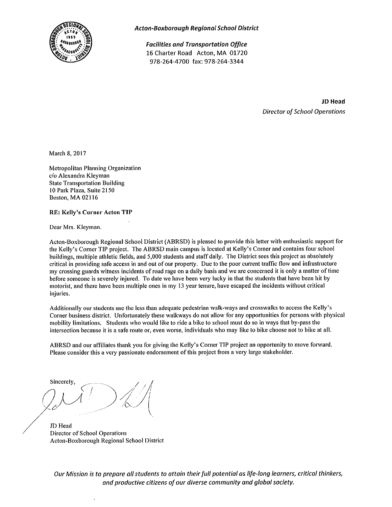

**Acton-Boxborough Regional School District** 

**Facilities and Transportation Office** 16 Charter Road Acton, MA 01720 978-264-4700 fax: 978-264-3344

> **JD Head Director of School Operations**

March 8, 2017

Metropolitan Planning Organization c/o Alexandra Kleyman **State Transportation Building** 10 Park Plaza, Suite 2150 Boston, MA 02116

**RE: Kelly's Corner Acton TIP** 

Dear Mrs. Kleyman.

Acton-Boxborough Regional School District (ABRSD) is pleased to provide this letter with enthusiastic support for the Kelly's Corner TIP project. The ABRSD main campus is located at Kelly's Corner and contains four school buildings, multiple athletic fields, and 5,000 students and staff daily. The District sees this project as absolutely critical in providing safe access in and out of our property. Due to the poor current traffic flow and infrastructure my crossing guards witness incidents of road rage on a daily basis and we are concerned it is only a matter of time before someone is severely injured. To date we have been very lucky in that the students that have been hit by motorist, and there have been multiple ones in my 13 year tenure, have escaped the incidents without critical injuries.

Additionally our students use the less than adequate pedestrian walk-ways and crosswalks to access the Kelly's Corner business district. Unfortunately these walkways do not allow for any opportunities for persons with physical mobility limitations. Students who would like to ride a bike to school must do so in ways that by-pass the intersection because it is a safe route or, even worse, individuals who may like to bike choose not to bike at all.

ABRSD and our affiliates thank you for giving the Kelly's Corner TIP project an opportunity to move forward. Please consider this a very passionate endorsement of this project from a very large stakeholder.

Sincerely.

JD Head Director of School Operations Acton-Boxborough Regional School District

Our Mission is to prepare all students to attain their full potential as life-long learners, critical thinkers, and productive citizens of our diverse community and global society.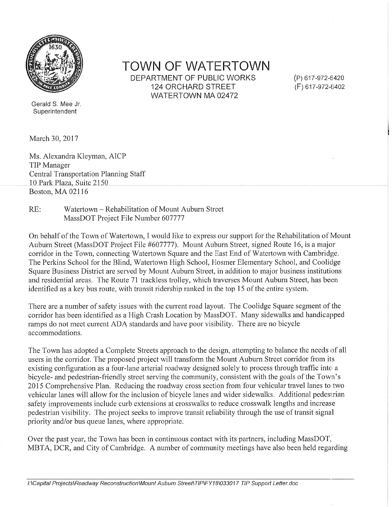

**TOWN OF WATERTOWN** DEPARTMENT OF PUBLIC WORKS **124 ORCHARD STREET** WATERTOWN MA 02472

(P) 617-972-6420 (F) 617-972-6402

Gerald S. Mee Jr. Superintendent

March 30, 2017

Ms. Alexandra Kleyman, AICP TIP Manager **Central Transportation Planning Staff** 10 Park Plaza, Suite 2150 Boston, MA 02116

Watertown – Rehabilitation of Mount Auburn Street  $RE:$ MassDOT Project File Number 607777

On behalf of the Town of Watertown, I would like to express our support for the Rehabilitation of Mount Auburn Street (MassDOT Project File #607777). Mount Auburn Street, signed Route 16, is a major corridor in the Town, connecting Watertown Square and the East End of Watertown with Cambridge. The Perkins School for the Blind, Watertown High School, Hosmer Elementary School, and Coolidge Square Business District are served by Mount Auburn Street, in addition to major business institutions and residential areas. The Route 71 trackless trolley, which traverses Mount Auburn Street, has been identified as a key bus route, with transit ridership ranked in the top 15 of the entire system.

There are a number of safety issues with the current road layout. The Coolidge Square segment of the corridor has been identified as a High Crash Location by MassDOT. Many sidewalks and handicapped ramps do not meet current ADA standards and have poor visibility. There are no bicycle accommodations.

The Town has adopted a Complete Streets approach to the design, attempting to balance the needs of all users in the corridor. The proposed project will transform the Mount Auburn Street corridor from its existing configuration as a four-lane arterial roadway designed solely to process through traffic into a bicycle- and pedestrian-friendly street serving the community, consistent with the goals of the Town's 2015 Comprehensive Plan. Reducing the roadway cross section from four vehicular travel lanes to two vehicular lanes will allow for the inclusion of bicycle lanes and wider sidewalks. Additional pedestrian safety improvements include curb extensions at crosswalks to reduce crosswalk lengths and increase pedestrian visibility. The project seeks to improve transit reliability through the use of transit signal priority and/or bus queue lanes, where appropriate.

Over the past year, the Town has been in continuous contact with its partners, including MassDOT, MBTA, DCR, and City of Cambridge. A number of community meetings have also been held regarding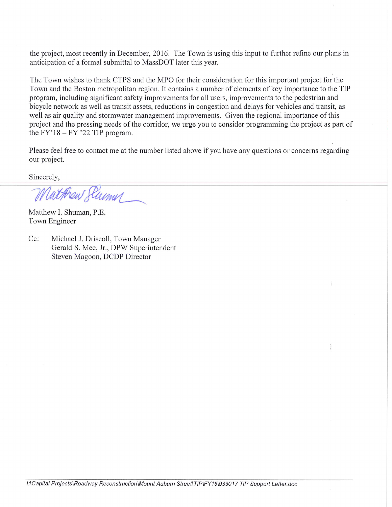the project, most recently in December, 2016. The Town is using this input to further refine our plans in anticipation of a formal submittal to MassDOT later this year.

The Town wishes to thank CTPS and the MPO for their consideration for this important project for the Town and the Boston metropolitan region. It contains a number of elements of key importance to the TIP program, including significant safety improvements for all users, improvements to the pedestrian and bicycle network as well as transit assets, reductions in congestion and delays for vehicles and transit, as well as air quality and stormwater management improvements. Given the regional importance of this project and the pressing needs of the corridor, we urge you to consider programming the project as part of the  $FY'18 - FY'22 TIP program$ .

Please feel free to contact me at the number listed above if you have any questions or concerns regarding our project.

Sincerely,

Matthew Slumn

Matthew I. Shuman, P.E. Town Engineer

 $Cc$ : Michael J. Driscoll, Town Manager Gerald S. Mee, Jr., DPW Superintendent Steven Magoon, DCDP Director